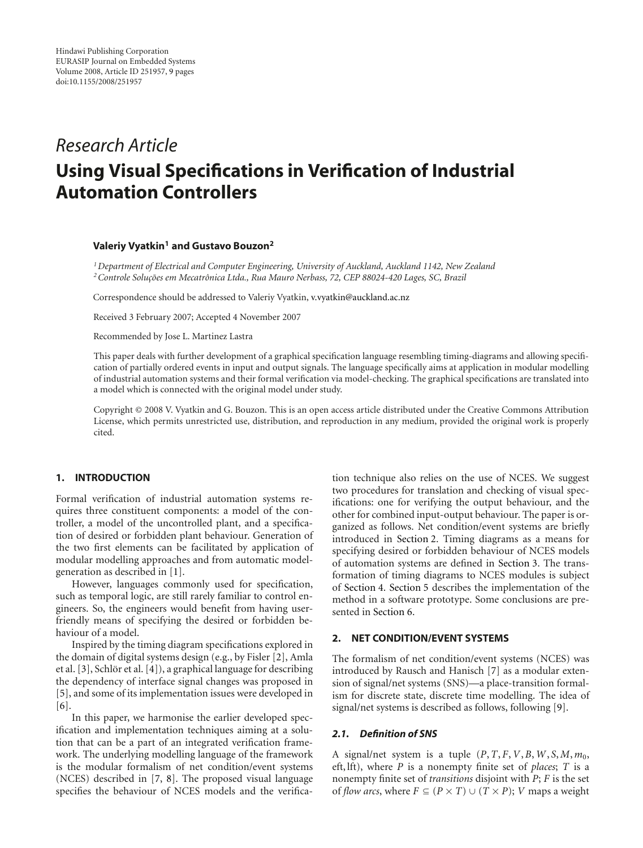# *Research Article* **Using Visual Specifications in Verification of Industrial Automation Controllers**

# **Valeriy Vyatkin1 and Gustavo Bouzon2**

*1Department of Electrical and Computer Engineering, University of Auckland, Auckland 1142, New Zealand 2Controle Soluc¸oes em Mecatr ˜ onica Ltda., Rua Mauro Nerbass, 72, CEP 88024-420 Lages, SC, Brazil ˆ*

Correspondence should be addressed to Valeriy Vyatkin, v.vyatkin@auckland.ac.nz

Received 3 February 2007; Accepted 4 November 2007

Recommended by Jose L. Martinez Lastra

This paper deals with further development of a graphical specification language resembling timing-diagrams and allowing specification of partially ordered events in input and output signals. The language specifically aims at application in modular modelling of industrial automation systems and their formal verification via model-checking. The graphical specifications are translated into a model which is connected with the original model under study.

Copyright © 2008 V. Vyatkin and G. Bouzon. This is an open access article distributed under the Creative Commons Attribution License, which permits unrestricted use, distribution, and reproduction in any medium, provided the original work is properly cited.

# **1. INTRODUCTION**

Formal verification of industrial automation systems requires three constituent components: a model of the controller, a model of the uncontrolled plant, and a specification of desired or forbidden plant behaviour. Generation of the two first elements can be facilitated by application of modular modelling approaches and from automatic modelgeneration as described in [1].

However, languages commonly used for specification, such as temporal logic, are still rarely familiar to control engineers. So, the engineers would benefit from having userfriendly means of specifying the desired or forbidden behaviour of a model.

Inspired by the timing diagram specifications explored in the domain of digital systems design (e.g., by Fisler [2], Amla et al. [3], Schlör et al. [4]), a graphical language for describing the dependency of interface signal changes was proposed in [5], and some of its implementation issues were developed in [6].

In this paper, we harmonise the earlier developed specification and implementation techniques aiming at a solution that can be a part of an integrated verification framework. The underlying modelling language of the framework is the modular formalism of net condition/event systems (NCES) described in [7, 8]. The proposed visual language specifies the behaviour of NCES models and the verification technique also relies on the use of NCES. We suggest two procedures for translation and checking of visual specifications: one for verifying the output behaviour, and the other for combined input-output behaviour. The paper is organized as follows. Net condition/event systems are briefly introduced in Section 2. Timing diagrams as a means for specifying desired or forbidden behaviour of NCES models of automation systems are defined in Section 3. The transformation of timing diagrams to NCES modules is subject of Section 4. Section 5 describes the implementation of the method in a software prototype. Some conclusions are presented in Section 6.

## **2. NET CONDITION/EVENT SYSTEMS**

The formalism of net condition/event systems (NCES) was introduced by Rausch and Hanisch [7] as a modular extension of signal/net systems (SNS)—a place-transition formalism for discrete state, discrete time modelling. The idea of signal/net systems is described as follows, following [9].

## *2.1. Definition of SNS*

A signal/net system is a tuple  $(P, T, F, V, B, W, S, M, m_0,$ eft, lft), where *P* is a nonempty finite set of *places*; *T* is a nonempty finite set of *transitions* disjoint with *P*; *F* is the set of *flow arcs*, where  $F \subseteq (P \times T) \cup (T \times P)$ ; *V* maps a weight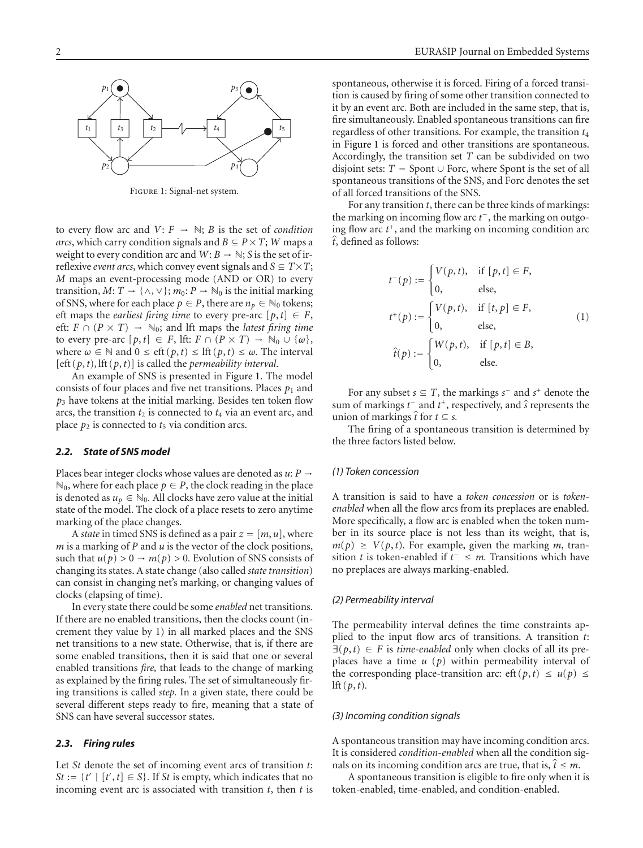

Figure 1: Signal-net system.

to every flow arc and  $V: F \rightarrow \mathbb{N}; B$  is the set of *condition arcs*, which carry condition signals and  $B \subseteq P \times T$ ; *W* maps a weight to every condition arc and  $W: B \to \mathbb{N}$ ; *S* is the set of irreflexive *event arcs*, which convey event signals and  $S \subseteq T \times T$ ; *M* maps an event-processing mode (AND or OR) to every transition, *M*: *T* → { $\land$ ,  $\lor$ }; *m*<sub>0</sub>: *P* →  $\mathbb{N}_0$  is the initial marking of SNS, where for each place  $p \in P$ , there are  $n_p \in \mathbb{N}_0$  tokens; eft maps the *earliest firing time* to every pre-arc  $[p, t] \in F$ , eft:  $F \cap (P \times T) \rightarrow \mathbb{N}_0$ ; and lft maps the *latest firing time* to every pre-arc  $[p, t] \in F$ , lft:  $F \cap (P \times T) \to \mathbb{N}_0 \cup \{\omega\},\$ where  $\omega \in \mathbb{N}$  and  $0 \le \text{eff}(p, t) \le \text{lf}(p, t) \le \omega$ . The interval  $[eff(p, t), \text{lf}(p, t)]$  is called the *permeability interval*.

An example of SNS is presented in Figure 1. The model consists of four places and five net transitions. Places  $p_1$  and *p*<sup>3</sup> have tokens at the initial marking. Besides ten token flow arcs, the transition  $t_2$  is connected to  $t_4$  via an event arc, and place  $p_2$  is connected to  $t_5$  via condition arcs.

## *2.2. State of SNS model*

Places bear integer clocks whose values are denoted as  $u: P \rightarrow$  $\mathbb{N}_0$ , where for each place  $p \in P$ , the clock reading in the place is denoted as  $u_p \in \mathbb{N}_0$ . All clocks have zero value at the initial state of the model. The clock of a place resets to zero anytime marking of the place changes.

A *state* in timed SNS is defined as a pair  $z = [m, u]$ , where *m* is a marking of *P* and *u* is the vector of the clock positions, such that  $u(p) > 0 \rightarrow m(p) > 0$ . Evolution of SNS consists of changing its states. A state change (also called *state transition*) can consist in changing net's marking, or changing values of clocks (elapsing of time).

In every state there could be some *enabled* net transitions. If there are no enabled transitions, then the clocks count (increment they value by 1) in all marked places and the SNS net transitions to a new state. Otherwise, that is, if there are some enabled transitions, then it is said that one or several enabled transitions *fire,* that leads to the change of marking as explained by the firing rules. The set of simultaneously firing transitions is called *step.* In a given state, there could be several different steps ready to fire, meaning that a state of SNS can have several successor states.

## *2.3. Firing rules*

Let *St* denote the set of incoming event arcs of transition *t*:  $St := \{t' \mid [t', t] \in S\}$ . If *St* is empty, which indicates that no incoming event arc is associated with transition *t*, then *t* is spontaneous, otherwise it is forced. Firing of a forced transition is caused by firing of some other transition connected to it by an event arc. Both are included in the same step, that is, fire simultaneously. Enabled spontaneous transitions can fire regardless of other transitions. For example, the transition *t*<sup>4</sup> in Figure 1 is forced and other transitions are spontaneous. Accordingly, the transition set *T* can be subdivided on two disjoint sets:  $T =$  Spont ∪ Forc, where Spont is the set of all spontaneous transitions of the SNS, and Forc denotes the set of all forced transitions of the SNS.

For any transition *t*, there can be three kinds of markings: the marking on incoming flow arc *t*<sup>−</sup>, the marking on outgoing flow arc  $t^+$ , and the marking on incoming condition arc *t*, defined as follows:

$$
t^{-}(p) := \begin{cases} V(p, t), & \text{if } [p, t] \in F, \\ 0, & \text{else,} \end{cases}
$$

$$
t^{+}(p) := \begin{cases} V(p, t), & \text{if } [t, p] \in F, \\ 0, & \text{else,} \end{cases}
$$

$$
\hat{t}(p) := \begin{cases} W(p, t), & \text{if } [p, t] \in B, \\ 0, & \text{else.} \end{cases}
$$

For any subset  $s \subseteq T$ , the markings  $s^-$  and  $s^+$  denote the For any subset *s*  $\subseteq$  *T*, the markings *s*<sup>−</sup> and *s*<sup>+</sup> denote the sum of markings *t*<sup>−</sup> and *t*<sup>+</sup>, respectively, and  $\hat{s}$  represents the For any subset *s*  $\subseteq$  *T*, the sum of markings *t*<sup>-</sup> and *t*<sup>+</sup>, reunion of markings  $\hat{t}$  for *t*  $\subseteq$  *s*.

The firing of a spontaneous transition is determined by the three factors listed below.

## *(1) Token concession*

A transition is said to have a *token concession* or is *tokenenabled* when all the flow arcs from its preplaces are enabled. More specifically, a flow arc is enabled when the token number in its source place is not less than its weight, that is,  $m(p) \geq V(p, t)$ . For example, given the marking *m*, transition *t* is token-enabled if *t*<sup>−</sup> ≤ *m.* Transitions which have no preplaces are always marking-enabled.

## *(2) Permeability interval*

The permeability interval defines the time constraints applied to the input flow arcs of transitions. A transition *t*:  $\exists (p, t) \in F$  is *time-enabled* only when clocks of all its preplaces have a time *u* (*p*) within permeability interval of the corresponding place-transition arc:  $\operatorname{eff}(p, t) \leq u(p) \leq$ lft (*p*,*t*)*.*

#### *(3) Incoming condition signals*

A spontaneous transition may have incoming condition arcs. It is considered *condition-enabled* when all the condition sig-A spontaneous transition may have incoming conditi<br>It is considered *condition-enabled* when all the condit<br>nals on its incoming condition arcs are true, that is,  $\hat{t}$ nals on its incoming condition arcs are true, that is,  $\hat{t} \leq m$ .

A spontaneous transition is eligible to fire only when it is token-enabled, time-enabled, and condition-enabled.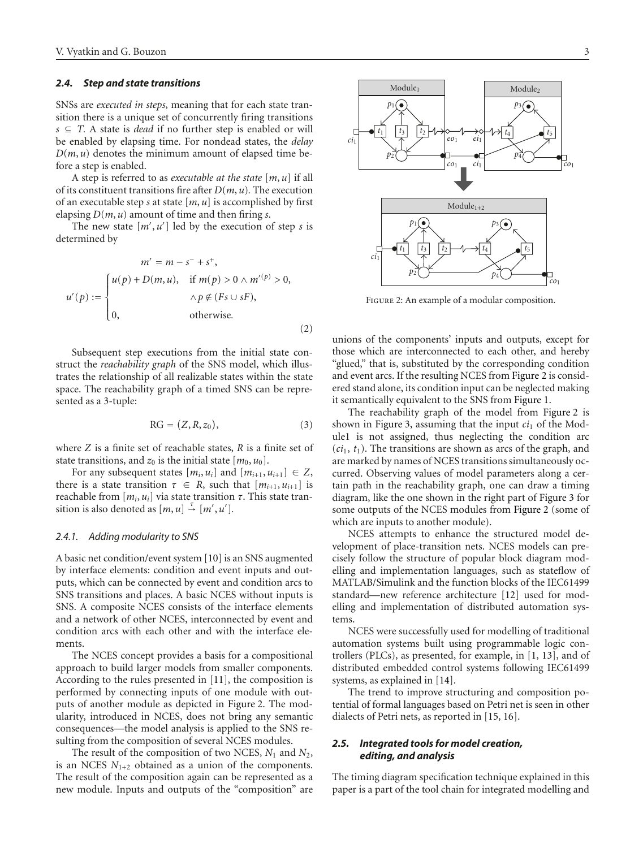## *2.4. Step and state transitions*

SNSs are *executed in steps*, meaning that for each state transition there is a unique set of concurrently firing transitions  $s \subseteq T$ . A state is *dead* if no further step is enabled or will be enabled by elapsing time. For nondead states, the *delay*  $D(m, u)$  denotes the minimum amount of elapsed time before a step is enabled.

A step is referred to as *executable at the state* [*m*, *u*] if all of its constituent transitions fire after  $D(m, u)$ . The execution of an executable step *s* at state [*m*, *u*] is accomplished by first elapsing *D*(*m*, *u*) amount of time and then firing *s*.

The new state [m', u'] led by the execution of step *s* is determined by ⎧

$$
m' = m - s^- + s^+,
$$
  
\n
$$
u'(p) := \begin{cases} u(p) + D(m, u), & \text{if } m(p) > 0 \land m'^{(p)} > 0, \\ & \land p \notin (Fs \cup sF), \\ 0, & \text{otherwise.} \end{cases}
$$
\n(2)

Subsequent step executions from the initial state construct the *reachability graph* of the SNS model, which illustrates the relationship of all realizable states within the state space. The reachability graph of a timed SNS can be represented as a 3-tuple:<br>  $RG = (Z, R, z_0),$  (3) sented as a 3-tuple:

$$
RG = (Z, R, z_0), \tag{3}
$$

where *Z* is a finite set of reachable states, *R* is a finite set of state transitions, and  $z_0$  is the initial state  $[m_0, u_0]$ .

For any subsequent states  $[m_i, u_i]$  and  $[m_{i+1}, u_{i+1}] \in Z$ , there is a state transition  $\tau \in R$ , such that  $[m_{i+1}, u_{i+1}]$  is reachable from [*mi*, *ui*] via state transition *τ*. This state transition is also denoted as  $[m, u] \stackrel{\tau}{\rightarrow} [m', u']$ .

## *2.4.1. Adding modularity to SNS*

A basic net condition/event system [10] is an SNS augmented by interface elements: condition and event inputs and outputs, which can be connected by event and condition arcs to SNS transitions and places. A basic NCES without inputs is SNS. A composite NCES consists of the interface elements and a network of other NCES, interconnected by event and condition arcs with each other and with the interface elements.

The NCES concept provides a basis for a compositional approach to build larger models from smaller components. According to the rules presented in [11], the composition is performed by connecting inputs of one module with outputs of another module as depicted in Figure 2. The modularity, introduced in NCES, does not bring any semantic consequences—the model analysis is applied to the SNS resulting from the composition of several NCES modules.

The result of the composition of two NCES, *N*<sup>1</sup> and *N*2, is an NCES  $N_{1+2}$  obtained as a union of the components. The result of the composition again can be represented as a new module. Inputs and outputs of the "composition" are



Figure 2: An example of a modular composition.

unions of the components' inputs and outputs, except for those which are interconnected to each other, and hereby "glued," that is, substituted by the corresponding condition and event arcs. If the resulting NCES from Figure 2 is considered stand alone, its condition input can be neglected making it semantically equivalent to the SNS from Figure 1.

The reachability graph of the model from Figure 2 is shown in Figure 3, assuming that the input *ci*<sub>1</sub> of the Module1 is not assigned, thus neglecting the condition arc  $(c_i, t_1)$ . The transitions are shown as arcs of the graph, and are marked by names of NCES transitions simultaneously occurred. Observing values of model parameters along a certain path in the reachability graph, one can draw a timing diagram, like the one shown in the right part of Figure 3 for some outputs of the NCES modules from Figure 2 (some of which are inputs to another module).

NCES attempts to enhance the structured model development of place-transition nets. NCES models can precisely follow the structure of popular block diagram modelling and implementation languages, such as stateflow of MATLAB/Simulink and the function blocks of the IEC61499 standard—new reference architecture [12] used for modelling and implementation of distributed automation systems.

NCES were successfully used for modelling of traditional automation systems built using programmable logic controllers (PLCs), as presented, for example, in [1, 13], and of distributed embedded control systems following IEC61499 systems, as explained in [14].

The trend to improve structuring and composition potential of formal languages based on Petri net is seen in other dialects of Petri nets, as reported in [15, 16].

# *2.5. Integrated tools for model creation, editing, and analysis*

The timing diagram specification technique explained in this paper is a part of the tool chain for integrated modelling and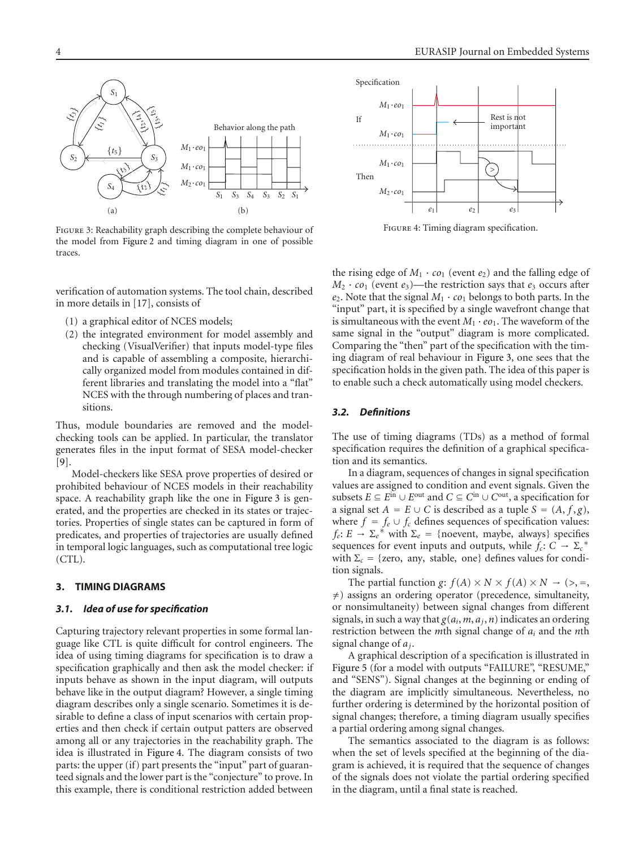

Figure 3: Reachability graph describing the complete behaviour of the model from Figure 2 and timing diagram in one of possible traces.

verification of automation systems. The tool chain, described in more details in [17], consists of

- (1) a graphical editor of NCES models;
- (2) the integrated environment for model assembly and checking (VisualVerifier) that inputs model-type files and is capable of assembling a composite, hierarchically organized model from modules contained in different libraries and translating the model into a "flat" NCES with the through numbering of places and transitions.

Thus, module boundaries are removed and the modelchecking tools can be applied. In particular, the translator generates files in the input format of SESA model-checker [9].

Model-checkers like SESA prove properties of desired or prohibited behaviour of NCES models in their reachability space. A reachability graph like the one in Figure 3 is generated, and the properties are checked in its states or trajectories. Properties of single states can be captured in form of predicates, and properties of trajectories are usually defined in temporal logic languages, such as computational tree logic (CTL).

## **3. TIMING DIAGRAMS**

#### *3.1. Idea of use for specification*

Capturing trajectory relevant properties in some formal language like CTL is quite difficult for control engineers. The idea of using timing diagrams for specification is to draw a specification graphically and then ask the model checker: if inputs behave as shown in the input diagram, will outputs behave like in the output diagram? However, a single timing diagram describes only a single scenario. Sometimes it is desirable to define a class of input scenarios with certain properties and then check if certain output patters are observed among all or any trajectories in the reachability graph. The idea is illustrated in Figure 4. The diagram consists of two parts: the upper (if) part presents the "input" part of guaranteed signals and the lower part is the "conjecture" to prove. In this example, there is conditional restriction added between



Figure 4: Timing diagram specification.

the rising edge of  $M_1 \cdot co_1$  (event  $e_2$ ) and the falling edge of  $M_2 \cdot co_1$  (event  $e_3$ )—the restriction says that  $e_3$  occurs after  $e_2$ . Note that the signal  $M_1 \cdot co_1$  belongs to both parts. In the "input" part, it is specified by a single wavefront change that is simultaneous with the event  $M_1 \cdot e_{01}$ . The waveform of the same signal in the "output" diagram is more complicated. Comparing the "then" part of the specification with the timing diagram of real behaviour in Figure 3, one sees that the specification holds in the given path. The idea of this paper is to enable such a check automatically using model checkers.

## *3.2. Definitions*

The use of timing diagrams (TDs) as a method of formal specification requires the definition of a graphical specification and its semantics.

In a diagram, sequences of changes in signal specification values are assigned to condition and event signals. Given the subsets *E* ⊆ *E*<sup>in</sup> ∪ *E*<sup>out</sup> and *C* ⊆ *C*<sup>in</sup> ∪ *C*<sup>out</sup>, a specification for a signal set  $A = E \cup C$  is described as a tuple  $S = (A, f, g)$ , where  $f = f_e \cup f_c$  defines sequences of specification values:  $f_e: E \to \Sigma_e^*$  with  $\Sigma_e = \{noevent, maybe, always\}$  specifies sequences for event inputs and outputs, while  $f_c$ :  $C \rightarrow \Sigma_c^*$ with  $\Sigma_c = \{$ zero, any, stable, one} defines values for condition signals.

The partial function *g*:  $f(A) \times N \times f(A) \times N \rightarrow (>,=,$ =*/* ) assigns an ordering operator (precedence, simultaneity, or nonsimultaneity) between signal changes from different signals, in such a way that  $g(a_i, m, a_i, n)$  indicates an ordering restriction between the *m*th signal change of *ai* and the *n*th signal change of *aj*.

A graphical description of a specification is illustrated in Figure 5 (for a model with outputs "FAILURE", "RESUME," and "SENS"). Signal changes at the beginning or ending of the diagram are implicitly simultaneous. Nevertheless, no further ordering is determined by the horizontal position of signal changes; therefore, a timing diagram usually specifies a partial ordering among signal changes.

The semantics associated to the diagram is as follows: when the set of levels specified at the beginning of the diagram is achieved, it is required that the sequence of changes of the signals does not violate the partial ordering specified in the diagram, until a final state is reached.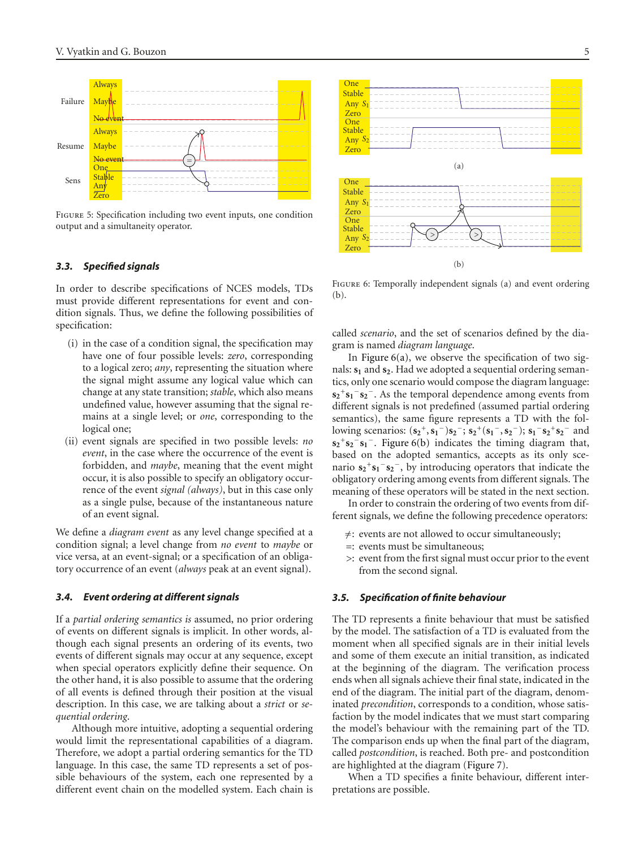

Figure 5: Specification including two event inputs, one condition output and a simultaneity operator.

## *3.3. Specified signals*

In order to describe specifications of NCES models, TDs must provide different representations for event and condition signals. Thus, we define the following possibilities of specification:

- (i) in the case of a condition signal, the specification may have one of four possible levels: *zero*, corresponding to a logical zero; *any*, representing the situation where the signal might assume any logical value which can change at any state transition; *stable*, which also means undefined value, however assuming that the signal remains at a single level; or *one*, corresponding to the logical one;
- (ii) event signals are specified in two possible levels: *no event*, in the case where the occurrence of the event is forbidden, and *maybe*, meaning that the event might occur, it is also possible to specify an obligatory occurrence of the event *signal (always)*, but in this case only as a single pulse, because of the instantaneous nature of an event signal.

We define a *diagram event* as any level change specified at a condition signal; a level change from *no event* to *maybe* or vice versa, at an event-signal; or a specification of an obligatory occurrence of an event (*always* peak at an event signal).

## *3.4. Event ordering at different signals*

If a *partial ordering semantics is* assumed, no prior ordering of events on different signals is implicit. In other words, although each signal presents an ordering of its events, two events of different signals may occur at any sequence, except when special operators explicitly define their sequence. On the other hand, it is also possible to assume that the ordering of all events is defined through their position at the visual description. In this case, we are talking about a *strict* or *sequential ordering*.

Although more intuitive, adopting a sequential ordering would limit the representational capabilities of a diagram. Therefore, we adopt a partial ordering semantics for the TD language. In this case, the same TD represents a set of possible behaviours of the system, each one represented by a different event chain on the modelled system. Each chain is



FIGURE 6: Temporally independent signals (a) and event ordering (b).

called *scenario*, and the set of scenarios defined by the diagram is named *diagram language*.

In Figure  $6(a)$ , we observe the specification of two signals:  $s_1$  and  $s_2$ . Had we adopted a sequential ordering semantics, only one scenario would compose the diagram language: **s2** <sup>+</sup>**s1** <sup>−</sup>**s2** <sup>−</sup>. As the temporal dependence among events from different signals is not predefined (assumed partial ordering semantics), the same figure represents a TD with the following scenarios:  $(s_2^+, s_1^-)s_2^-$ ;  $s_2^+(s_1^-, s_2^-)$ ;  $s_1^-s_2^+s_2^-$  and  $s_2$ <sup>+</sup> $s_2$ <sup>-</sup> $s_1$ <sup>-</sup>. Figure 6(b) indicates the timing diagram that, based on the adopted semantics, accepts as its only scenario  $s_2$ <sup>+</sup> $s_1$ <sup>-</sup> $s_2$ <sup>-</sup>, by introducing operators that indicate the obligatory ordering among events from different signals. The meaning of these operators will be stated in the next section.

In order to constrain the ordering of two events from different signals, we define the following precedence operators:

- =*/* : events are not allowed to occur simultaneously;
- =: events must be simultaneous;
- *>*: event from the first signal must occur prior to the event from the second signal.

#### *3.5. Specification of finite behaviour*

The TD represents a finite behaviour that must be satisfied by the model. The satisfaction of a TD is evaluated from the moment when all specified signals are in their initial levels and some of them execute an initial transition, as indicated at the beginning of the diagram. The verification process ends when all signals achieve their final state, indicated in the end of the diagram. The initial part of the diagram, denominated *precondition*, corresponds to a condition, whose satisfaction by the model indicates that we must start comparing the model's behaviour with the remaining part of the TD. The comparison ends up when the final part of the diagram, called *postcondition*, is reached. Both pre- and postcondition are highlighted at the diagram (Figure 7).

When a TD specifies a finite behaviour, different interpretations are possible.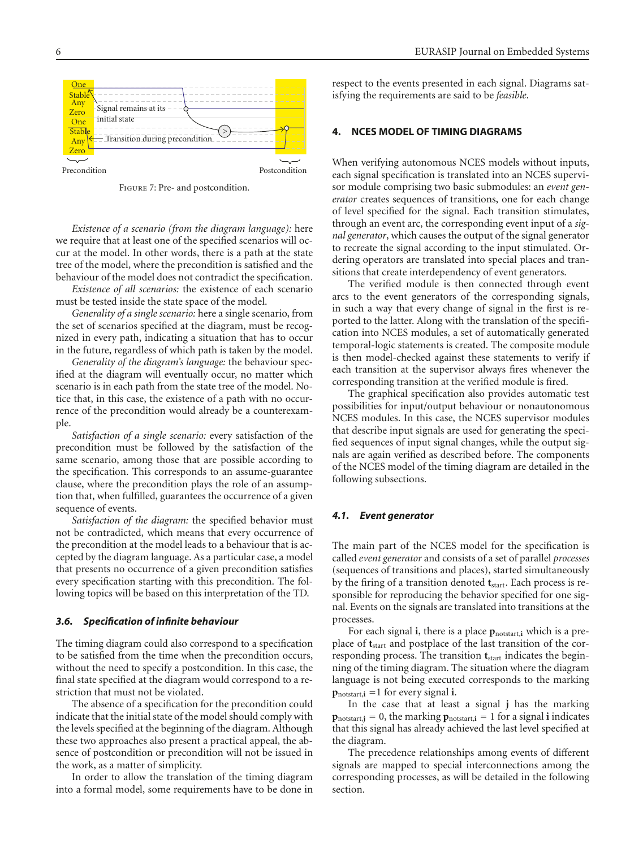## **4. NCES MODEL OF TIMING DIAGRAMS**

When verifying autonomous NCES models without inputs, each signal specification is translated into an NCES supervisor module comprising two basic submodules: an *event generator* creates sequences of transitions, one for each change of level specified for the signal. Each transition stimulates, through an event arc, the corresponding event input of a *signal generator*, which causes the output of the signal generator to recreate the signal according to the input stimulated. Ordering operators are translated into special places and transitions that create interdependency of event generators.

The verified module is then connected through event arcs to the event generators of the corresponding signals, in such a way that every change of signal in the first is reported to the latter. Along with the translation of the specification into NCES modules, a set of automatically generated temporal-logic statements is created. The composite module is then model-checked against these statements to verify if each transition at the supervisor always fires whenever the corresponding transition at the verified module is fired.

The graphical specification also provides automatic test possibilities for input/output behaviour or nonautonomous NCES modules. In this case, the NCES supervisor modules that describe input signals are used for generating the specified sequences of input signal changes, while the output signals are again verified as described before. The components of the NCES model of the timing diagram are detailed in the following subsections.

## *4.1. Event generator*

The main part of the NCES model for the specification is called *event generator* and consists of a set of parallel *processes* (sequences of transitions and places), started simultaneously by the firing of a transition denoted **t**<sub>start</sub>. Each process is responsible for reproducing the behavior specified for one signal. Events on the signals are translated into transitions at the processes.

For each signal **i**, there is a place **p**notstart,**<sup>i</sup>** which is a preplace of **t**start and postplace of the last transition of the corresponding process. The transition **t**<sub>start</sub> indicates the beginning of the timing diagram. The situation where the diagram language is not being executed corresponds to the marking **p**notstart,**<sup>i</sup>** =1 for every signal **i**.

In the case that at least a signal **j** has the marking  $\mathbf{p}_{\text{notstart},j} = 0$ , the marking  $\mathbf{p}_{\text{notstart},i} = 1$  for a signal **i** indicates that this signal has already achieved the last level specified at the diagram.

The precedence relationships among events of different signals are mapped to special interconnections among the corresponding processes, as will be detailed in the following section.

Figure 7: Pre- and postcondition.

*Existence of a scenario (from the diagram language):* here we require that at least one of the specified scenarios will occur at the model. In other words, there is a path at the state tree of the model, where the precondition is satisfied and the behaviour of the model does not contradict the specification.

*Existence of all scenarios:* the existence of each scenario must be tested inside the state space of the model.

*Generality of a single scenario:* here a single scenario, from the set of scenarios specified at the diagram, must be recognized in every path, indicating a situation that has to occur in the future, regardless of which path is taken by the model.

*Generality of the diagram's language:* the behaviour specified at the diagram will eventually occur, no matter which scenario is in each path from the state tree of the model. Notice that, in this case, the existence of a path with no occurrence of the precondition would already be a counterexample.

*Satisfaction of a single scenario:* every satisfaction of the precondition must be followed by the satisfaction of the same scenario, among those that are possible according to the specification. This corresponds to an assume-guarantee clause, where the precondition plays the role of an assumption that, when fulfilled, guarantees the occurrence of a given sequence of events.

*Satisfaction of the diagram:* the specified behavior must not be contradicted, which means that every occurrence of the precondition at the model leads to a behaviour that is accepted by the diagram language. As a particular case, a model that presents no occurrence of a given precondition satisfies every specification starting with this precondition. The following topics will be based on this interpretation of the TD.

# *3.6. Specification of infinite behaviour*

The timing diagram could also correspond to a specification to be satisfied from the time when the precondition occurs, without the need to specify a postcondition. In this case, the final state specified at the diagram would correspond to a restriction that must not be violated.

The absence of a specification for the precondition could indicate that the initial state of the model should comply with the levels specified at the beginning of the diagram. Although these two approaches also present a practical appeal, the absence of postcondition or precondition will not be issued in the work, as a matter of simplicity.

In order to allow the translation of the timing diagram into a formal model, some requirements have to be done in

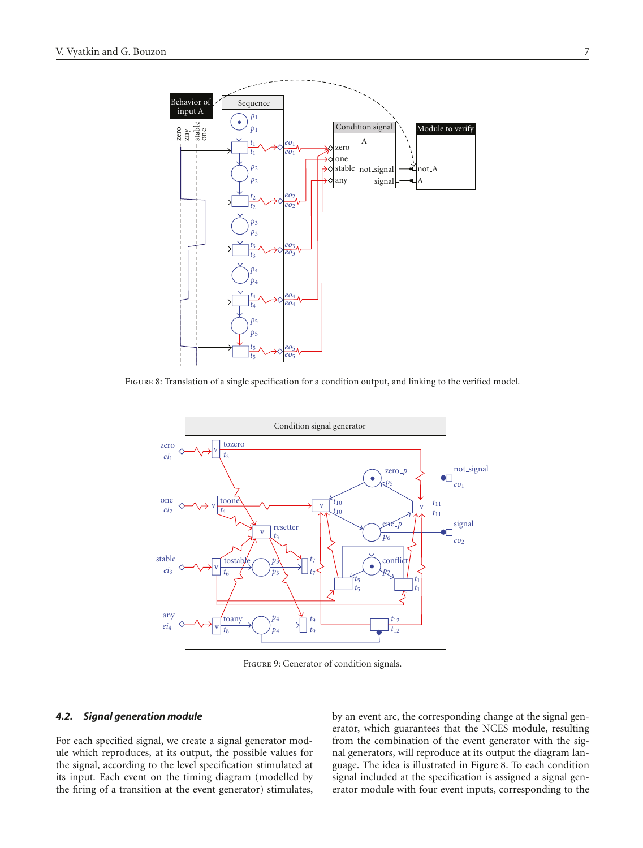

Figure 8: Translation of a single specification for a condition output, and linking to the verified model.



Figure 9: Generator of condition signals.

## *4.2. Signal generation module*

For each specified signal, we create a signal generator module which reproduces, at its output, the possible values for the signal, according to the level specification stimulated at its input. Each event on the timing diagram (modelled by the firing of a transition at the event generator) stimulates,

by an event arc, the corresponding change at the signal generator, which guarantees that the NCES module, resulting from the combination of the event generator with the signal generators, will reproduce at its output the diagram language. The idea is illustrated in Figure 8. To each condition signal included at the specification is assigned a signal generator module with four event inputs, corresponding to the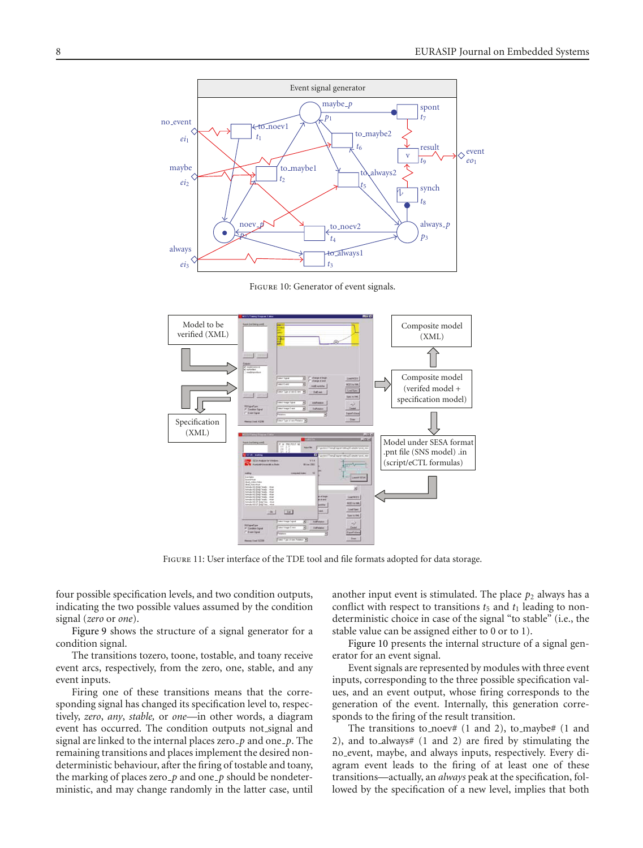

FIGURE 10: Generator of event signals.



Figure 11: User interface of the TDE tool and file formats adopted for data storage.

four possible specification levels, and two condition outputs, indicating the two possible values assumed by the condition signal (*zero* or *one*).

Figure 9 shows the structure of a signal generator for a condition signal.

The transitions tozero, toone, tostable, and toany receive event arcs, respectively, from the zero, one, stable, and any event inputs.

Firing one of these transitions means that the corresponding signal has changed its specification level to, respectively, *zero*, *any*, *stable,* or *one*—in other words, a diagram event has occurred. The condition outputs not signal and signal are linked to the internal places zero *p* and one *p*. The remaining transitions and places implement the desired nondeterministic behaviour, after the firing of tostable and toany, the marking of places zero *p* and one *p* should be nondeterministic, and may change randomly in the latter case, until

another input event is stimulated. The place  $p_2$  always has a conflict with respect to transitions  $t_5$  and  $t_1$  leading to nondeterministic choice in case of the signal "to stable" (i.e., the stable value can be assigned either to 0 or to 1).

Figure 10 presents the internal structure of a signal generator for an event signal.

Event signals are represented by modules with three event inputs, corresponding to the three possible specification values, and an event output, whose firing corresponds to the generation of the event. Internally, this generation corresponds to the firing of the result transition.

The transitions to noev#  $(1 \text{ and } 2)$ , to maybe#  $(1 \text{ and } 2)$ 2), and to always# (1 and 2) are fired by stimulating the no event, maybe, and always inputs, respectively. Every diagram event leads to the firing of at least one of these transitions—actually, an *always* peak at the specification, followed by the specification of a new level, implies that both